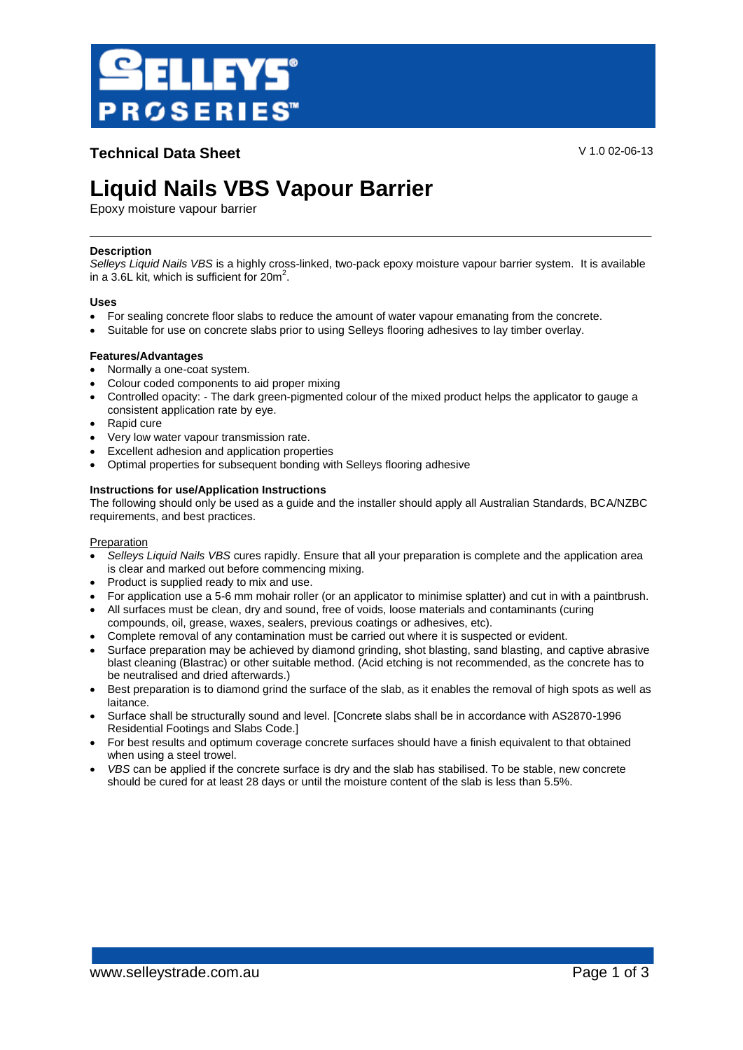

**Technical Data Sheet** V 1.0 02-06-13

# **Liquid Nails VBS Vapour Barrier**

Epoxy moisture vapour barrier

# **Description**

*Selleys Liquid Nails VBS* is a highly cross-linked, two-pack epoxy moisture vapour barrier system. It is available in a 3.6L kit, which is sufficient for  $20m^2$ .

#### **Uses**

- For sealing concrete floor slabs to reduce the amount of water vapour emanating from the concrete.
- Suitable for use on concrete slabs prior to using Selleys flooring adhesives to lay timber overlay.

# **Features/Advantages**

- Normally a one-coat system.
- Colour coded components to aid proper mixing
- Controlled opacity: The dark green-pigmented colour of the mixed product helps the applicator to gauge a consistent application rate by eye.
- Rapid cure
- Very low water vapour transmission rate.
- Excellent adhesion and application properties
- Optimal properties for subsequent bonding with Selleys flooring adhesive

# **Instructions for use/Application Instructions**

The following should only be used as a guide and the installer should apply all Australian Standards, BCA/NZBC requirements, and best practices.

#### Preparation

- *Selleys Liquid Nails VBS* cures rapidly. Ensure that all your preparation is complete and the application area is clear and marked out before commencing mixing.
- Product is supplied ready to mix and use.
- For application use a 5-6 mm mohair roller (or an applicator to minimise splatter) and cut in with a paintbrush.
- All surfaces must be clean, dry and sound, free of voids, loose materials and contaminants (curing compounds, oil, grease, waxes, sealers, previous coatings or adhesives, etc).
- Complete removal of any contamination must be carried out where it is suspected or evident.
- Surface preparation may be achieved by diamond grinding, shot blasting, sand blasting, and captive abrasive blast cleaning (Blastrac) or other suitable method. (Acid etching is not recommended, as the concrete has to be neutralised and dried afterwards.)
- Best preparation is to diamond grind the surface of the slab, as it enables the removal of high spots as well as laitance.
- Surface shall be structurally sound and level. [Concrete slabs shall be in accordance with AS2870-1996 Residential Footings and Slabs Code.]
- For best results and optimum coverage concrete surfaces should have a finish equivalent to that obtained when using a steel trowel.
- *VBS* can be applied if the concrete surface is dry and the slab has stabilised. To be stable, new concrete should be cured for at least 28 days or until the moisture content of the slab is less than 5.5%.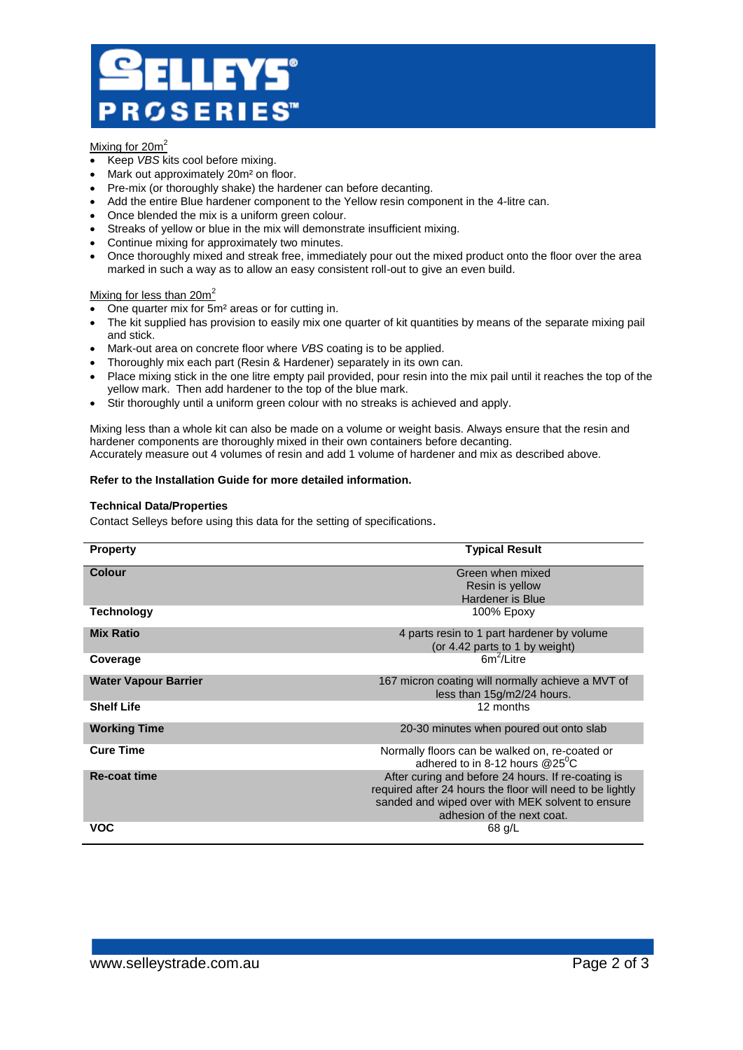# LEYS® **ROSERIES**

# Mixing for 20m<sup>2</sup>

- Keep *VBS* kits cool before mixing.
- Mark out approximately 20m² on floor.
- Pre-mix (or thoroughly shake) the hardener can before decanting.
- Add the entire Blue hardener component to the Yellow resin component in the 4-litre can.
- Once blended the mix is a uniform green colour.
- Streaks of yellow or blue in the mix will demonstrate insufficient mixing.
- Continue mixing for approximately two minutes.
- Once thoroughly mixed and streak free, immediately pour out the mixed product onto the floor over the area marked in such a way as to allow an easy consistent roll-out to give an even build.

# Mixing for less than  $20m^2$

- One quarter mix for 5m<sup>2</sup> areas or for cutting in.
- The kit supplied has provision to easily mix one quarter of kit quantities by means of the separate mixing pail and stick.
- Mark-out area on concrete floor where *VBS* coating is to be applied.
- Thoroughly mix each part (Resin & Hardener) separately in its own can.
- Place mixing stick in the one litre empty pail provided, pour resin into the mix pail until it reaches the top of the yellow mark. Then add hardener to the top of the blue mark.
- Stir thoroughly until a uniform green colour with no streaks is achieved and apply.

Mixing less than a whole kit can also be made on a volume or weight basis. Always ensure that the resin and hardener components are thoroughly mixed in their own containers before decanting. Accurately measure out 4 volumes of resin and add 1 volume of hardener and mix as described above.

#### **Refer to the Installation Guide for more detailed information.**

# **Technical Data/Properties**

Contact Selleys before using this data for the setting of specifications.

| <b>Property</b>             | <b>Typical Result</b>                                     |
|-----------------------------|-----------------------------------------------------------|
| Colour                      | Green when mixed                                          |
|                             |                                                           |
|                             | Resin is yellow                                           |
|                             | Hardener is Blue                                          |
| Technology                  | 100% Epoxy                                                |
| <b>Mix Ratio</b>            | 4 parts resin to 1 part hardener by volume                |
|                             | (or 4.42 parts to 1 by weight)                            |
|                             |                                                           |
| Coverage                    | $6m^2/l$ itre                                             |
| <b>Water Vapour Barrier</b> | 167 micron coating will normally achieve a MVT of         |
|                             | less than 15g/m2/24 hours.                                |
| <b>Shelf Life</b>           | 12 months                                                 |
|                             |                                                           |
| <b>Working Time</b>         | 20-30 minutes when poured out onto slab                   |
|                             |                                                           |
| <b>Cure Time</b>            | Normally floors can be walked on, re-coated or            |
|                             | adhered to in 8-12 hours $@25^0C$                         |
| <b>Re-coat time</b>         |                                                           |
|                             | After curing and before 24 hours. If re-coating is        |
|                             | required after 24 hours the floor will need to be lightly |
|                             | sanded and wiped over with MEK solvent to ensure          |
|                             | adhesion of the next coat.                                |
| <b>VOC</b>                  | 68 g/L                                                    |
|                             |                                                           |